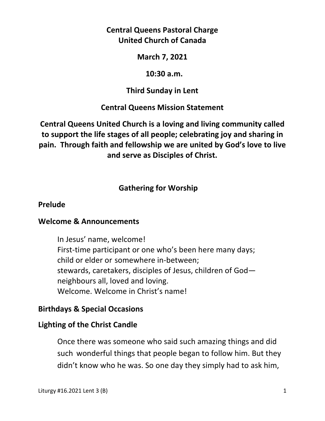# **Central Queens Pastoral Charge United Church of Canada**

## **March 7, 2021**

## **10:30 a.m.**

## **Third Sunday in Lent**

## **Central Queens Mission Statement**

**Central Queens United Church is a loving and living community called to support the life stages of all people; celebrating joy and sharing in pain. Through faith and fellowship we are united by God's love to live and serve as Disciples of Christ.**

# **Gathering for Worship**

## **Prelude**

#### **Welcome & Announcements**

In Jesus' name, welcome! First-time participant or one who's been here many days; child or elder or somewhere in-between; stewards, caretakers, disciples of Jesus, children of God neighbours all, loved and loving. Welcome. Welcome in Christ's name!

## **Birthdays & Special Occasions**

## **Lighting of the Christ Candle**

Once there was someone who said such amazing things and did such wonderful things that people began to follow him. But they didn't know who he was. So one day they simply had to ask him,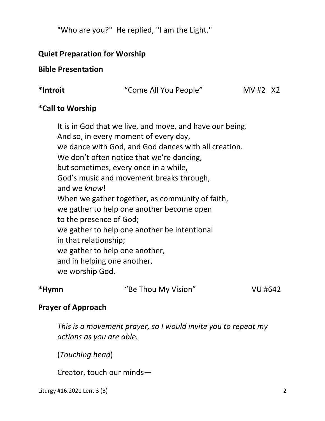"Who are you?" He replied, "I am the Light."

## **Quiet Preparation for Worship**

## **Bible Presentation**

| *Introit |
|----------|
|----------|

**\*Introit** "Come All You People" MV #2X2

## **\*Call to Worship**

It is in God that we live, and move, and have our being. And so, in every moment of every day, we dance with God, and God dances with all creation. We don't often notice that we're dancing, but sometimes, every once in a while, God's music and movement breaks through, and we *know*! When we gather together, as community of faith, we gather to help one another become open to the presence of God; we gather to help one another be intentional in that relationship; we gather to help one another, and in helping one another, we worship God.

| *Hymn<br>"Be Thou My Vision" | VU #642 |
|------------------------------|---------|
|------------------------------|---------|

#### **Prayer of Approach**

 *This is a movement prayer, so I would invite you to repeat my actions as you are able.* 

(*Touching head*)

Creator, touch our minds—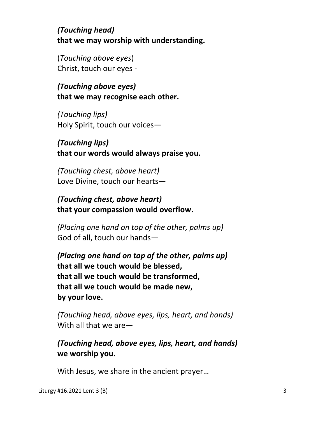*(Touching head)*   **that we may worship with understanding.** 

 (*Touching above eyes*) Christ, touch our eyes -

*(Touching above eyes)* **that we may recognise each other.** 

*(Touching lips)*  Holy Spirit, touch our voices—

*(Touching lips)*   **that our words would always praise you.** 

*(Touching chest, above heart)*  Love Divine, touch our hearts—

*(Touching chest, above heart)*   **that your compassion would overflow.** 

*(Placing one hand on top of the other, palms up)*  God of all, touch our hands—

*(Placing one hand on top of the other, palms up)* **that all we touch would be blessed, that all we touch would be transformed, that all we touch would be made new, by your love.** 

*(Touching head, above eyes, lips, heart, and hands)*  With all that we are—

*(Touching head, above eyes, lips, heart, and hands)*   **we worship you.** 

With Jesus, we share in the ancient prayer…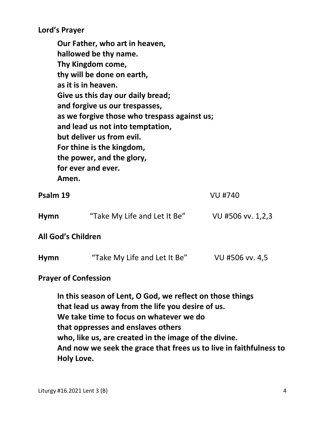**Lord's Prayer** 

**Our Father, who art in heaven, hallowed be thy name. Thy Kingdom come, thy will be done on earth, as it is in heaven. Give us this day our daily bread; and forgive us our trespasses, as we forgive those who trespass against us; and lead us not into temptation, but deliver us from evil. For thine is the kingdom, the power, and the glory, for ever and ever. Amen.** 

**Psalm 19** VU #740

| <b>Hymn</b> | "Take My Life and Let It Be" | VU #506 vv. 1,2,3 |
|-------------|------------------------------|-------------------|
|-------------|------------------------------|-------------------|

**All God's Children** 

| <b>Hymn</b> | "Take My Life and Let It Be" | VU #506 vv. 4,5 |
|-------------|------------------------------|-----------------|
|-------------|------------------------------|-----------------|

#### **Prayer of Confession**

**In this season of Lent, O God, we reflect on those things that lead us away from the life you desire of us. We take time to focus on whatever we do that oppresses and enslaves others who, like us, are created in the image of the divine. And now we seek the grace that frees us to live in faithfulness to Holy Love.**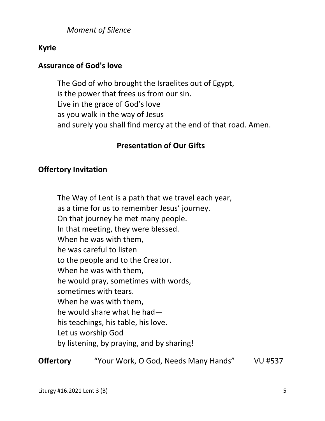*Moment of Silence* 

## **Kyrie**

## **Assurance of God's love**

The God of who brought the Israelites out of Egypt, is the power that frees us from our sin. Live in the grace of God's love as you walk in the way of Jesus and surely you shall find mercy at the end of that road. Amen.

## **Presentation of Our Gifts**

## **Offertory Invitation**

The Way of Lent is a path that we travel each year, as a time for us to remember Jesus' journey. On that journey he met many people. In that meeting, they were blessed. When he was with them, he was careful to listen to the people and to the Creator. When he was with them, he would pray, sometimes with words, sometimes with tears. When he was with them, he would share what he had his teachings, his table, his love. Let us worship God by listening, by praying, and by sharing!

**Offertory** "Your Work, O God, Needs Many Hands" VU #537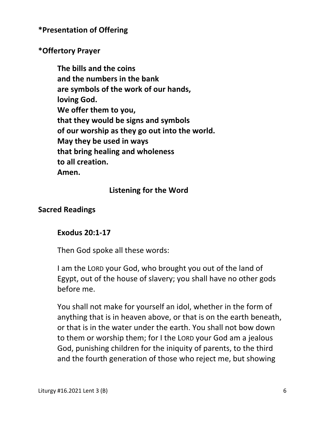**\*Presentation of Offering** 

## **\*Offertory Prayer**

 **The bills and the coins and the numbers in the bank are symbols of the work of our hands, loving God. We offer them to you, that they would be signs and symbols of our worship as they go out into the world. May they be used in ways that bring healing and wholeness to all creation. Amen.** 

## **Listening for the Word**

## **Sacred Readings**

#### **Exodus 20:1-17**

Then God spoke all these words:

I am the LORD your God, who brought you out of the land of Egypt, out of the house of slavery; you shall have no other gods before me.

You shall not make for yourself an idol, whether in the form of anything that is in heaven above, or that is on the earth beneath, or that is in the water under the earth. You shall not bow down to them or worship them; for I the LORD your God am a jealous God, punishing children for the iniquity of parents, to the third and the fourth generation of those who reject me, but showing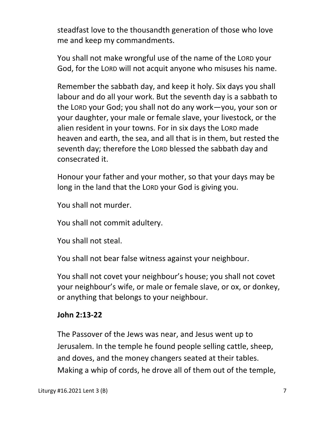steadfast love to the thousandth generation of those who love me and keep my commandments.

You shall not make wrongful use of the name of the LORD your God, for the LORD will not acquit anyone who misuses his name.

Remember the sabbath day, and keep it holy. Six days you shall labour and do all your work. But the seventh day is a sabbath to the LORD your God; you shall not do any work—you, your son or your daughter, your male or female slave, your livestock, or the alien resident in your towns. For in six days the LORD made heaven and earth, the sea, and all that is in them, but rested the seventh day; therefore the LORD blessed the sabbath day and consecrated it.

Honour your father and your mother, so that your days may be long in the land that the LORD your God is giving you.

You shall not murder.

You shall not commit adultery.

You shall not steal.

You shall not bear false witness against your neighbour.

You shall not covet your neighbour's house; you shall not covet your neighbour's wife, or male or female slave, or ox, or donkey, or anything that belongs to your neighbour.

# **John 2:13-22**

The Passover of the Jews was near, and Jesus went up to Jerusalem. In the temple he found people selling cattle, sheep, and doves, and the money changers seated at their tables. Making a whip of cords, he drove all of them out of the temple,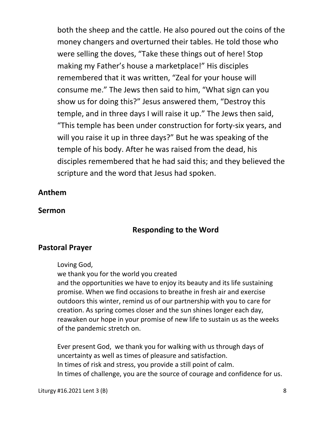both the sheep and the cattle. He also poured out the coins of the money changers and overturned their tables. He told those who were selling the doves, "Take these things out of here! Stop making my Father's house a marketplace!" His disciples remembered that it was written, "Zeal for your house will consume me." The Jews then said to him, "What sign can you show us for doing this?" Jesus answered them, "Destroy this temple, and in three days I will raise it up." The Jews then said, "This temple has been under construction for forty-six years, and will you raise it up in three days?" But he was speaking of the temple of his body. After he was raised from the dead, his disciples remembered that he had said this; and they believed the scripture and the word that Jesus had spoken.

#### **Anthem**

#### **Sermon**

#### **Responding to the Word**

#### **Pastoral Prayer**

Loving God,

we thank you for the world you created

 and the opportunities we have to enjoy its beauty and its life sustaining promise. When we find occasions to breathe in fresh air and exercise outdoors this winter, remind us of our partnership with you to care for creation. As spring comes closer and the sun shines longer each day, reawaken our hope in your promise of new life to sustain us as the weeks of the pandemic stretch on.

 Ever present God, we thank you for walking with us through days of uncertainty as well as times of pleasure and satisfaction. In times of risk and stress, you provide a still point of calm. In times of challenge, you are the source of courage and confidence for us.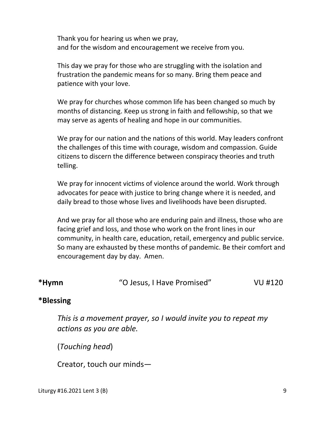Thank you for hearing us when we pray, and for the wisdom and encouragement we receive from you.

 This day we pray for those who are struggling with the isolation and frustration the pandemic means for so many. Bring them peace and patience with your love.

 We pray for churches whose common life has been changed so much by months of distancing. Keep us strong in faith and fellowship, so that we may serve as agents of healing and hope in our communities.

 We pray for our nation and the nations of this world. May leaders confront the challenges of this time with courage, wisdom and compassion. Guide citizens to discern the difference between conspiracy theories and truth telling.

 We pray for innocent victims of violence around the world. Work through advocates for peace with justice to bring change where it is needed, and daily bread to those whose lives and livelihoods have been disrupted.

 And we pray for all those who are enduring pain and illness, those who are facing grief and loss, and those who work on the front lines in our community, in health care, education, retail, emergency and public service. So many are exhausted by these months of pandemic. Be their comfort and encouragement day by day. Amen.

**\*Hymn** "O Jesus, I Have Promised" VU #120

#### **\*Blessing**

 *This is a movement prayer, so I would invite you to repeat my actions as you are able.* 

(*Touching head*)

Creator, touch our minds—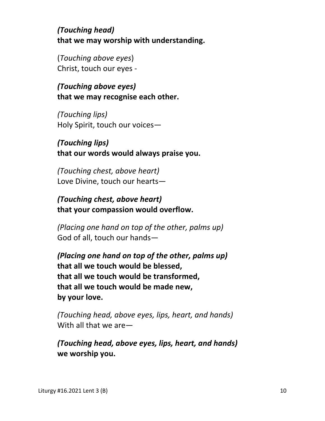*(Touching head)*   **that we may worship with understanding.** 

 (*Touching above eyes*) Christ, touch our eyes -

*(Touching above eyes)* **that we may recognise each other.** 

*(Touching lips)*  Holy Spirit, touch our voices—

# *(Touching lips)*   **that our words would always praise you.**

*(Touching chest, above heart)*  Love Divine, touch our hearts—

*(Touching chest, above heart)*   **that your compassion would overflow.** 

*(Placing one hand on top of the other, palms up)*  God of all, touch our hands—

*(Placing one hand on top of the other, palms up)* **that all we touch would be blessed, that all we touch would be transformed, that all we touch would be made new, by your love.** 

*(Touching head, above eyes, lips, heart, and hands)*  With all that we are—

*(Touching head, above eyes, lips, heart, and hands)*   **we worship you.**